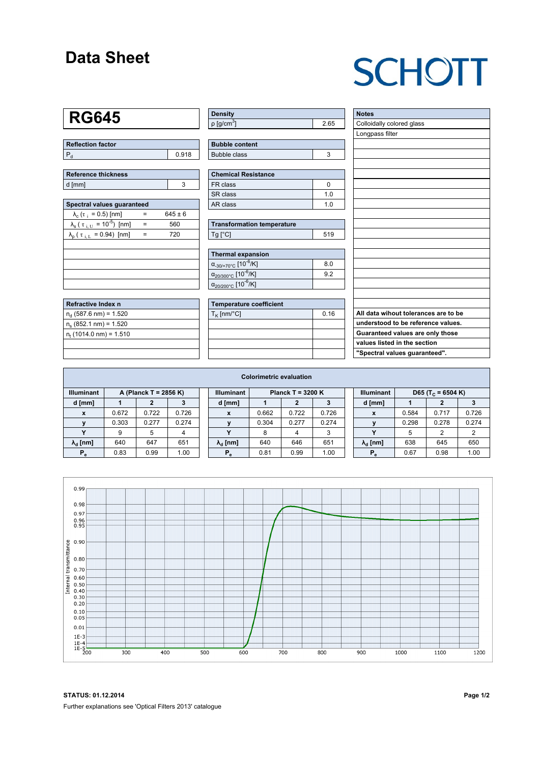### **Data Sheet**

# **SCHOTT**

### **RG645**

| Reflection factor |       |
|-------------------|-------|
|                   | 0.918 |

| Reference thickness |  |  |  |  |  |  |  |
|---------------------|--|--|--|--|--|--|--|
| d [mm]              |  |  |  |  |  |  |  |

| Spectral values quaranteed                                      |     |             |  |  |  |  |  |  |  |
|-----------------------------------------------------------------|-----|-------------|--|--|--|--|--|--|--|
| $\lambda_c$ ( $\tau_i$ = 0.5) [nm]                              |     | $645 \pm 6$ |  |  |  |  |  |  |  |
| $\lambda_{\rm s}$ ( $\tau_{\rm i, U}$ = 10 <sup>-5</sup> ) [nm] | $=$ | 560         |  |  |  |  |  |  |  |
| $\lambda_{\rm p}$ ( $\tau_{\rm i, L}$ = 0.94) [nm]              | $=$ | 720         |  |  |  |  |  |  |  |
|                                                                 |     |             |  |  |  |  |  |  |  |
|                                                                 |     |             |  |  |  |  |  |  |  |
|                                                                 |     |             |  |  |  |  |  |  |  |
|                                                                 |     |             |  |  |  |  |  |  |  |
|                                                                 |     |             |  |  |  |  |  |  |  |

| Refractive Index n              |  |
|---------------------------------|--|
| $n_{d}$ (587.6 nm) = 1.520      |  |
| $n_e$ (852.1 nm) = 1.520        |  |
| $n_{\rm t}$ (1014.0 nm) = 1.510 |  |
|                                 |  |

| Density                  |      |
|--------------------------|------|
| $p$ [g/cm <sup>3</sup> ] | 2.65 |

| <b>Bubble content</b> |    |
|-----------------------|----|
| Bubble class          | ×. |

| <b>Chemical Resistance</b> |     |  |  |  |  |  |
|----------------------------|-----|--|--|--|--|--|
| l FR class                 |     |  |  |  |  |  |
| l SR class                 | 1 በ |  |  |  |  |  |
| l AR class                 | 1 በ |  |  |  |  |  |

| <b>Transformation temperature</b> |     |  |  |  |  |  |
|-----------------------------------|-----|--|--|--|--|--|
| $Ta$ $C1$                         | 519 |  |  |  |  |  |

| Thermal expansion                                 |     |  |  |  |  |  |  |
|---------------------------------------------------|-----|--|--|--|--|--|--|
| $\alpha_{.30/+70\degree}$ C [10 <sup>-6</sup> /K] | 8.0 |  |  |  |  |  |  |
| $\alpha_{20/300^{\circ}C}$ [10 <sup>-6</sup> /K]  | 92  |  |  |  |  |  |  |
| $\alpha_{20/200^{\circ}C}$ [10 <sup>-6</sup> /K]  |     |  |  |  |  |  |  |

| Temperature coefficient |      |  |  |  |  |  |  |
|-------------------------|------|--|--|--|--|--|--|
| $T_{\rm K}$ [nm/°C]     | 0.16 |  |  |  |  |  |  |
|                         |      |  |  |  |  |  |  |
|                         |      |  |  |  |  |  |  |
|                         |      |  |  |  |  |  |  |
|                         |      |  |  |  |  |  |  |

| <b>Notes</b>                         |
|--------------------------------------|
| Colloidally colored glass            |
| Longpass filter                      |
|                                      |
|                                      |
|                                      |
|                                      |
|                                      |
|                                      |
|                                      |
|                                      |
|                                      |
|                                      |
|                                      |
|                                      |
|                                      |
|                                      |
|                                      |
|                                      |
|                                      |
| All data wihout tolerances are to be |
| understood to be reference values.   |
| Guaranteed values are only those     |
| values listed in the section         |
| "Spectral values guaranteed".        |

| <b>Colorimetric evaluation</b>             |       |       |       |  |                        |                     |       |       |  |                        |       |                               |       |
|--------------------------------------------|-------|-------|-------|--|------------------------|---------------------|-------|-------|--|------------------------|-------|-------------------------------|-------|
| <b>Illuminant</b><br>A (Planck T = 2856 K) |       |       |       |  | <b>Illuminant</b>      | Planck T = $3200 K$ |       |       |  | <b>Illuminant</b>      |       | D65 (T <sub>c</sub> = 6504 K) |       |
| d [mm]                                     |       |       |       |  | d [mm]                 |                     |       |       |  | d [mm]                 |       | 2                             |       |
| $\mathbf{x}$                               | 0.672 | 0.722 | 0.726 |  | X                      | 0.662               | 0.722 | 0.726 |  | X                      | 0.584 | 0.717                         | 0.726 |
|                                            | 0.303 | 0.277 | 0.274 |  |                        | 0.304               | 0.277 | 0.274 |  |                        | 0.298 | 0.278                         | 0.274 |
|                                            | 9     | 5     |       |  | v                      | 8                   | 4     | 3     |  | $\checkmark$           | 5     | 2                             | ↷     |
| $\lambda_{\rm d}$ [nm]                     | 640   | 647   | 651   |  | $\lambda_{\rm d}$ [nm] | 640                 | 646   | 651   |  | $\lambda_{\rm d}$ [nm] | 638   | 645                           | 650   |
| $P_e$                                      | 0.83  | 0.99  | 1.00  |  | $P_e$                  | 0.81                | 0.99  | 1.00  |  | $P_e$                  | 0.67  | 0.98                          | 1.00  |



**STATUS: 01.12.2014 Page 1/2** Further explanations see 'Optical Filters 2013' catalogue